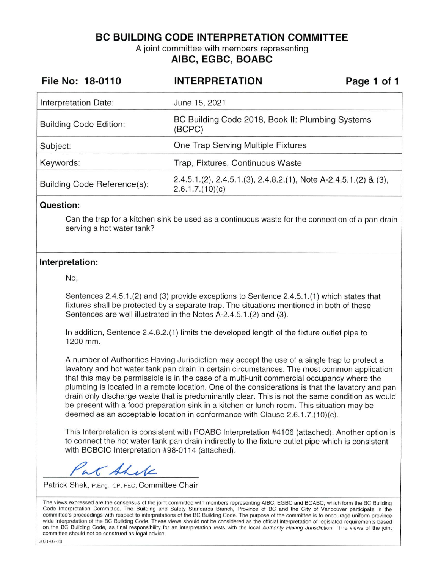**BC BUILDING CODE INTERPRETATION COMMITTEE** 

A joint committee with members representing **AIBC, EGBC, BOABC** 

| File No: 18-0110              | <b>INTERPRETATION</b>                                                              | Page 1 of 1 |  |
|-------------------------------|------------------------------------------------------------------------------------|-------------|--|
| Interpretation Date:          | June 15, 2021                                                                      |             |  |
| <b>Building Code Edition:</b> | BC Building Code 2018, Book II: Plumbing Systems<br>(BCPC)                         |             |  |
| Subject:                      | One Trap Serving Multiple Fixtures                                                 |             |  |
| Keywords:                     | Trap, Fixtures, Continuous Waste                                                   |             |  |
| Building Code Reference(s):   | $2.4.5.1(2), 2.4.5.1(3), 2.4.8.2(1),$ Note A-2.4.5.1.(2) & (3),<br>2.6.1.7.(10)(c) |             |  |

#### **Question:**

Can the trap for a kitchen sink be used as a continuous waste for the connection of a pan drain serving a hot water tank?

#### **Interpretation:**

No,

Sentences 2.4.5.1.(2) and (3) provide exceptions to Sentence 2.4.5.1.(1) which states that fixtures shall be protected by a separate trap. The situations mentioned in both of these Sentences are well illustrated in the Notes A-2.4.5.1.(2) and (3).

In addition, Sentence 2.4.8.2.(1) limits the developed length of the fixture outlet pipe to 1200 mm.

A number of Authorities Having Jurisdiction may accept the use of a single trap to protect a lavatory and hot water tank pan drain in certain circumstances. The most common application that this may be permissible is in the case of a multi-unit commercial occupancy where the plumbing is located in a remote location. One of the considerations is that the lavatory and pan drain only discharge waste that is predominantly clear. This is not the same condition as would be present with a food preparation sink in a kitchen or lunch room. This situation may be deemed as an acceptable location in conformance with Clause  $2.6.1.7.(10)(c)$ .

This Interpretation is consistent with POABC Interpretation #4106 (attached). Another option is to connect the hot water tank pan drain indirectly to the fixture outlet pipe which is consistent with BCBCIC Interpretation #98-01 14 (attached).

K Ahele

Patrick Shek, P.Eng., CP, FEC, Committee Chair

The views expressed are the consensus of the joint committee with members representing AIBC, EGBC and BOABC, which form the BC Building Code Interpretation Committee. The Building and Safety Standards Branch, Province of BC and the City of Vancouver participate in the committee's proceedings with respect to interpretations of the BC Building Code. The purpose of the committee is to encourage uniform province wide interpretation of the BC Building Code. These views should not be considered as the official interpretation of legislated requirements based on the BC Building Code, as final responsibility for an interpretation rests with the local Authority Having Jurisdiction. The views of the joint committee should not be construed as legal advice.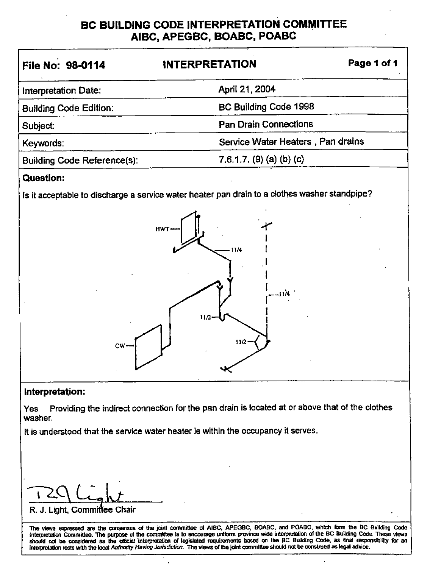## **BC BUILDING CODE INTERPRETATION COMMITTEE AIBC, APEGBC, BOABC, POABC**

| File No: 98-0114                   | <b>INTERPRETATION</b>             | Page 1 of 1 |  |
|------------------------------------|-----------------------------------|-------------|--|
| Interpretation Date:               | April 21, 2004                    |             |  |
| <b>Building Code Edition:</b>      | <b>BC Building Code 1998</b>      |             |  |
| Subject:                           | <b>Pan Drain Connections</b>      |             |  |
| Keywords:                          | Service Water Heaters, Pan drains |             |  |
| <b>Building Code Reference(s):</b> | 7.6.1.7. (9) (a) (b) (c)          |             |  |
|                                    |                                   |             |  |

## **Question:**

Is it acceptable to discharge a service water heater pan drain to a clothes washer standpipe?



## **Interpretation:**

Yes Providing the indirect connection for the pan drain is located at or above that of the clothes washer.

It is understood that the service water heater is within the occupancy it serves.

Pellight

R. J. Light, Committee Chair

The views expressed are the consensus of the joint committee of AIBC, APEGBC, BOABC, and POABC, which form the BC Building Code<br>Interpretation Committee. The purpose of the committee is to encourage uniform province wide i Interpretation Committee. The purpose of the committee is to encourage uniform province wide interpretation of the BC Building Code. These views<br>should not be considered as the official interpretation of legislated require lnterprelalion rests wtth the local Authority Having Jurisdiction. The views ol the jcint commlllse should not be construed as legal advice.